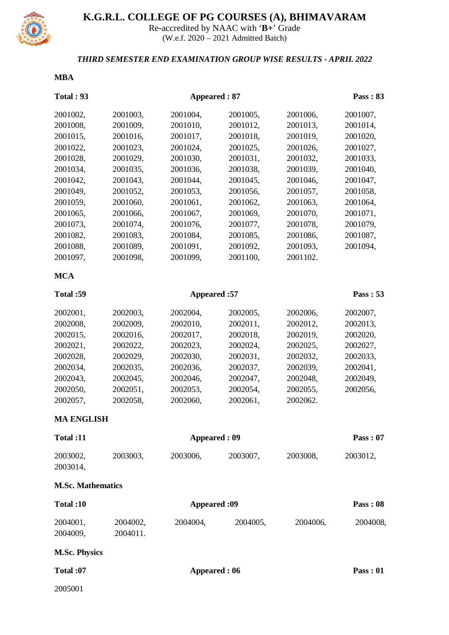

# **K.G.R.L. COLLEGE OF PG COURSES (A), BHIMAVARAM**

Re-accredited by NAAC with '**B+**' Grade (W.e.f. 2020 – 2021 Admitted Batch)

## *THIRD SEMESTER END EXAMINATION GROUP WISE RESULTS - APRIL 2022*

#### **MBA**

| <b>Total: 93</b>         |                     | Pass: 83            |          |          |          |  |
|--------------------------|---------------------|---------------------|----------|----------|----------|--|
| 2001002,                 | 2001003,            | 2001004,            | 2001005, | 2001006, | 2001007, |  |
| 2001008,                 | 2001009,            | 2001010,            | 2001012, | 2001013, | 2001014, |  |
| 2001015,                 | 2001016,            | 2001017,            | 2001018, | 2001019, | 2001020, |  |
| 2001022,                 | 2001023,            | 2001024,            | 2001025, | 2001026, | 2001027, |  |
| 2001028,                 | 2001029,            | 2001030,            | 2001031, | 2001032, | 2001033, |  |
| 2001034,                 | 2001035,            | 2001036,            | 2001038, | 2001039, | 2001040, |  |
| 2001042,                 | 2001043,            | 2001044,            | 2001045, | 2001046, | 2001047, |  |
| 2001049,                 | 2001052,            | 2001053,            | 2001056, | 2001057, | 2001058, |  |
| 2001059,                 | 2001060,            | 2001061,            | 2001062, | 2001063, | 2001064, |  |
| 2001065,                 | 2001066,            | 2001067,            | 2001069, | 2001070, | 2001071, |  |
| 2001073,                 | 2001074,            | 2001076,            | 2001077, | 2001078, | 2001079, |  |
| 2001082,                 | 2001083,            | 2001084,            | 2001085, | 2001086, | 2001087, |  |
| 2001088,                 | 2001089,            | 2001091,            | 2001092, | 2001093, | 2001094, |  |
| 2001097,                 | 2001098,            | 2001099,            | 2001100, | 2001102. |          |  |
| <b>MCA</b>               |                     |                     |          |          |          |  |
| Total:59                 |                     | Appeared: 57        |          |          |          |  |
| 2002001,                 | 2002003,            | 2002004,            | 2002005, | 2002006, | 2002007, |  |
| 2002008,                 | 2002009,            | 2002010,            | 2002011, | 2002012, | 2002013, |  |
| 2002015,                 | 2002016,            | 2002017,            | 2002018, | 2002019, | 2002020, |  |
| 2002021,                 | 2002022,            | 2002023,            | 2002024, | 2002025, | 2002027, |  |
| 2002028,                 | 2002029,            | 2002030,            | 2002031, | 2002032, | 2002033, |  |
| 2002034,                 | 2002035,            | 2002036,            | 2002037, | 2002039, | 2002041, |  |
| 2002043,                 | 2002045,            | 2002046,            | 2002047, | 2002048, | 2002049, |  |
| 2002050,                 | 2002051,            | 2002053,            | 2002054, | 2002055, | 2002056, |  |
| 2002057,                 | 2002058,            | 2002060,            | 2002061, | 2002062. |          |  |
| <b>MA ENGLISH</b>        |                     |                     |          |          |          |  |
| Total:11                 |                     | <b>Appeared: 09</b> |          |          |          |  |
| 2003002,<br>2003014,     | 2003003,            | 2003006,            | 2003007, | 2003008, | 2003012, |  |
| <b>M.Sc. Mathematics</b> |                     |                     |          |          |          |  |
| Total:10                 |                     | <b>Appeared:09</b>  |          |          |          |  |
| 2004001,                 | 2004002,            | 2004004,            | 2004005, | 2004006, | 2004008, |  |
| 2004009,                 | 2004011.            |                     |          |          |          |  |
| <b>M.Sc. Physics</b>     |                     |                     |          |          |          |  |
| Total:07                 | <b>Appeared: 06</b> |                     |          |          | Pass: 01 |  |
| 2005001                  |                     |                     |          |          |          |  |